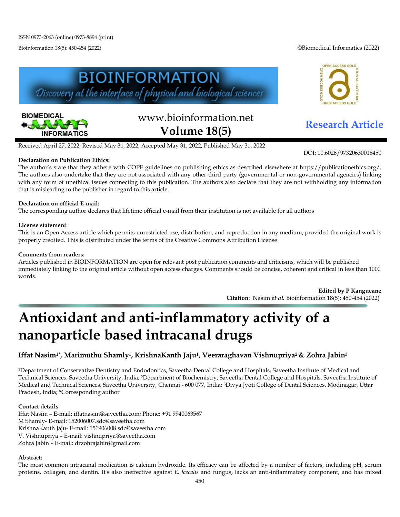Bioinformation 18(5): 450-454 (2022) ©Biomedical Informatics (2022)

OPEN ACCESS GOLD





# www.bioinformation.net **Research Article Volume 18(5)**

ACCESS GOI

DOI: 10.6026/97320630018450

Received April 27, 2022; Revised May 31, 2022; Accepted May 31, 2022, Published May 31, 2022

#### **Declaration on Publication Ethics:**

The author's state that they adhere with COPE guidelines on publishing ethics as described elsewhere at https://publicationethics.org/. The authors also undertake that they are not associated with any other third party (governmental or non-governmental agencies) linking with any form of unethical issues connecting to this publication. The authors also declare that they are not withholding any information that is misleading to the publisher in regard to this article.

#### **Declaration on official E-mail:**

The corresponding author declares that lifetime official e-mail from their institution is not available for all authors

#### **License statement**:

This is an Open Access article which permits unrestricted use, distribution, and reproduction in any medium, provided the original work is properly credited. This is distributed under the terms of the Creative Commons Attribution License

#### **Comments from readers:**

Articles published in BIOINFORMATION are open for relevant post publication comments and criticisms, which will be published immediately linking to the original article without open access charges. Comments should be concise, coherent and critical in less than 1000 words.

> **Edited by P Kangueane Citation**: Nasim *et al.* Bioinformation 18(5): 450-454 (2022)

# **Antioxidant and anti-inflammatory activity of a nanoparticle based intracanal drugs**

### **Iffat Nasim1\*, Marimuthu Shamly1, KrishnaKanth Jaju1, Veeraraghavan Vishnupriya2 & Zohra Jabin3**

1Department of Conservative Dentistry and Endodontics, Saveetha Dental College and Hospitals, Saveetha Institute of Medical and Technical Sciences, Saveetha University, India; 2Department of Biochemistry, Saveetha Dental College and Hospitals, Saveetha Institute of Medical and Technical Sciences, Saveetha University, Chennai - 600 077, India; 3Divya Jyoti College of Dental Sciences, Modinagar, Uttar Pradesh, India; \*Corresponding author

#### **Contact details**

Iffat Nasim – E-mail: [iffatnasim@saveetha.com;](mailto:iffatnasim@saveetha.com) Phone: +91 9940063567 M Shamly- E-mail: 152006007.sdc@saveetha.com KrishnaKanth Jaju- E-mail: 151906008.sdc@saveetha.com V. Vishnupriya – E-mail: vishnupriya@saveetha.com Zohra Jabin – E-mail: drzohrajabin@gmail.com

#### **Abstract:**

The most common intracanal medication is calcium hydroxide. Its efficacy can be affected by a number of factors, including pH, serum proteins, collagen, and dentin. It's also ineffective against *E. faecalis* and fungus, lacks an anti-inflammatory component, and has mixed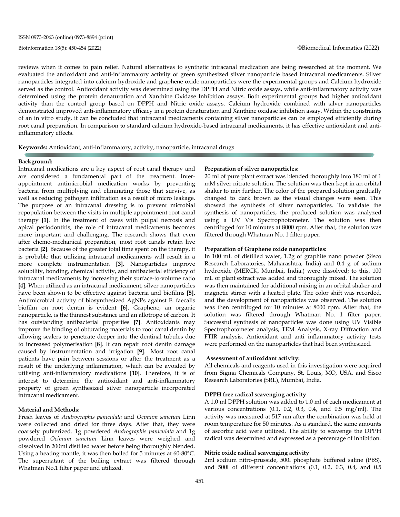reviews when it comes to pain relief. Natural alternatives to synthetic intracanal medication are being researched at the moment. We evaluated the antioxidant and anti-inflammatory activity of green synthesized silver nanoparticle based intracanal medicaments. Silver nanoparticles integrated into calcium hydroxide and graphene oxide nanoparticles were the experimental groups and Calcium hydroxide served as the control. Antioxidant activity was determined using the DPPH and Nitric oxide assays, while anti-inflammatory activity was determined using the protein denaturation and Xanthine Oxidase Inhibition assays. Both experimental groups had higher antioxidant activity than the control group based on DPPH and Nitric oxide assays. Calcium hydroxide combined with silver nanoparticles demonstrated improved anti-inflammatory efficacy in a protein denaturation and Xanthine oxidase inhibition assay. Within the constraints of an in vitro study, it can be concluded that intracanal medicaments containing silver nanoparticles can be employed efficiently during root canal preparation. In comparison to standard calcium hydroxide-based intracanal medicaments, it has effective antioxidant and antiinflammatory effects.

**Keywords:** Antioxidant, anti-inflammatory, activity, nanoparticle, intracanal drugs

#### **Background:**

Intracanal medications are a key aspect of root canal therapy and are considered a fundamental part of the treatment. Interappointment antimicrobial medication works by preventing bacteria from multiplying and eliminating those that survive, as well as reducing pathogen infiltration as a result of micro leakage. The purpose of an intracanal dressing is to prevent microbial repopulation between the visits in multiple appointment root canal therapy **[1]**. In the treatment of cases with pulpal necrosis and apical periodontitis, the role of intracanal medicaments becomes more important and challenging. The research shows that even after chemo-mechanical preparation, most root canals retain live bacteria **[2]**. Because of the greater total time spent on the therapy, it is probable that utilizing intracanal medicaments will result in a more complete instrumentation **[3]**. Nanoparticles improve solubility, bonding, chemical activity, and antibacterial efficiency of intracanal medicaments by increasing their surface-to-volume ratio **[4]**. When utilized as an intracanal medicament, silver nanoparticles have been shown to be effective against bacteria and biofilms **[5]**. Antimicrobial activity of biosynthesized AgNPs against E. faecalis biofilm on root dentin is evident **[6]**. Graphene, an organic nanoparticle, is the thinnest substance and an allotrope of carbon. It has outstanding antibacterial properties **[7]**. Antioxidants may improve the binding of obturating materials to root canal dentin by allowing sealers to penetrate deeper into the dentinal tubules due to increased polymerisation **[8]**. It can repair root dentin damage caused by instrumentation and irrigation **[9]**. Most root canal patients have pain between sessions or after the treatment as a result of the underlying inflammation, which can be avoided by utilising anti-inflammatory medications **[10]**. Therefore, it is of interest to determine the antioxidant and anti-inflammatory property of green synthesized silver nanoparticle incorporated intracanal medicament.

#### **Material and Methods:**

Fresh leaves of *Andrographis paniculata* and *Ocimum sanctum* Linn were collected and dried for three days. After that, they were coarsely pulverized. 1g powdered *Andrographis paniculata* and 1g powdered *Ocimum sanctum* Linn leaves were weighed and dissolved in 200ml distilled water before being thoroughly blended. Using a heating mantle, it was then boiled for 5 minutes at 60-80°C. The supernatant of the boiling extract was filtered through Whatman No.1 filter paper and utilized.

#### **Preparation of silver nanoparticles:**

20 ml of pure plant extract was blended thoroughly into 180 ml of 1 mM silver nitrate solution. The solution was then kept in an orbital shaker to mix further. The color of the prepared solution gradually changed to dark brown as the visual changes were seen. This showed the synthesis of silver nanoparticles. To validate the synthesis of nanoparticles, the produced solution was analyzed using a UV Vis Spectrophotometer. The solution was then centrifuged for 10 minutes at 8000 rpm. After that, the solution was filtered through Whatman No. 1 filter paper.

#### **Preparation of Graphene oxide nanoparticles:**

In 100 mL of distilled water, 1.2g of graphite nano powder (Sisco Research Laboratories, Maharashtra, India) and 0.4 g of sodium hydroxide (MERCK, Mumbai, India.) were dissolved; to this, 100 mL of plant extract was added and thoroughly mixed. The solution was then maintained for additional mixing in an orbital shaker and magnetic stirrer with a heated plate. The color shift was recorded, and the development of nanoparticles was observed. The solution was then centrifuged for 10 minutes at 8000 rpm. After that, the solution was filtered through Whatman No. 1 filter paper. Successful synthesis of nanoparticles was done using UV Visible Spectrophotometer analysis, TEM Analysis, X-ray Diffraction and FTIR analysis. Antioxidant and anti inflammatory activity tests were performed on the nanoparticles that had been synthesized.

#### **Assessment of antioxidant activity:**

All chemicals and reagents used in this investigation were acquired from Sigma Chemicals Company, St. Louis, MO, USA, and Sisco Research Laboratories (SRL), Mumbai, India.

#### **DPPH free radical scavenging activity**

A 1.0 ml DPPH solution was added to 1.0 ml of each medicament at various concentrations (0.1, 0.2, 0.3, 0.4, and 0.5 mg/ml). The activity was measured at 517 nm after the combination was held at room temperature for 50 minutes. As a standard, the same amounts of ascorbic acid were utilized. The ability to scavenge the DPPH radical was determined and expressed as a percentage of inhibition.

#### **Nitric oxide radical scavenging activity**

2ml sodium nitro-prusside, 500l phosphate buffered saline (PBS), and 500l of different concentrations (0.1, 0.2, 0.3, 0.4, and 0.5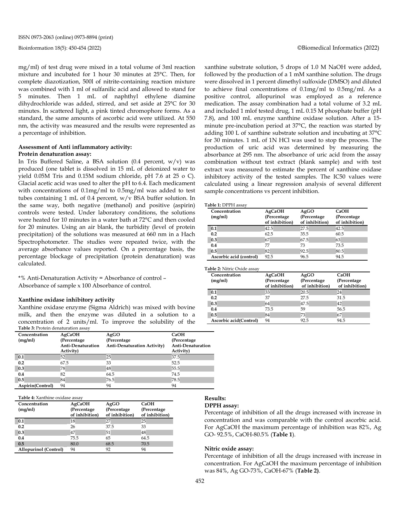mg/ml) of test drug were mixed in a total volume of 3ml reaction mixture and incubated for 1 hour 30 minutes at 25°C. Then, for complete diazotization, 500l of nitrite-containing reaction mixture was combined with 1 ml of sulfanilic acid and allowed to stand for 5 minutes. Then 1 mL of naphthyl ethylene diamine dihydrochloride was added, stirred, and set aside at 25°C for 30 minutes. In scattered light, a pink tinted chromophore forms. As a standard, the same amounts of ascorbic acid were utilized. At 550 nm, the activity was measured and the results were represented as a percentage of inhibition.

#### **Assessment of Anti inflammatory activity: Protein denaturation assay:**

In Tris Buffered Saline, a BSA solution  $(0.4$  percent,  $w/v$ ) was produced (one tablet is dissolved in 15 mL of deionized water to yield 0.05M Tris and 0.15M sodium chloride, pH 7.6 at 25 o C). Glacial acetic acid was used to alter the pH to 6.4. Each medicament with concentrations of 0.1mg/ml to 0.5mg/ml was added to test tubes containing 1 mL of 0.4 percent,  $w/v$  BSA buffer solution. In the same way, both negative (methanol) and positive (aspirin) controls were tested. Under laboratory conditions, the solutions were heated for 10 minutes in a water bath at 72°C and then cooled for 20 minutes. Using an air blank, the turbidity (level of protein precipitation) of the solutions was measured at 660 nm in a Hach Spectrophotometer. The studies were repeated twice, with the average absorbance values reported. On a percentage basis, the percentage blockage of precipitation (protein denaturation) was calculated.

\*% Anti-Denaturation Activity = Absorbance of control – Absorbance of sample x 100 Absorbance of control.

#### **Xanthine oxidase inhibitory activity**

Xanthine oxidase enzyme (Sigma Aldrich) was mixed with bovine milk, and then the enzyme was diluted in a solution to a concentration of 2 units/ml. To improve the solubility of the **Table 3:** Protein denaturation assay

| Concentration<br>(mg/ml) | <b>AgCaOH</b><br>(Percentage)  | AgGO<br>(Percentage)        | CaOH<br>(Percentage)                  |
|--------------------------|--------------------------------|-----------------------------|---------------------------------------|
|                          | Anti-Denaturation<br>Activity) | Anti-Denaturation Activity) | <b>Anti-Denaturation</b><br>Activity) |
| 0.1                      | 52                             | 25                          | 37.5                                  |
| 0.2                      | 67.5                           | 33                          | 52.5                                  |
| 0.3                      | 78                             | 48                          | 55.5                                  |
| 0.4                      | 82                             | 64.5                        | 74.5                                  |
| 0.5                      | 84                             | 76.5                        | 78.5                                  |
| Aspirin(Control)         | 94                             | 94                          | 94                                    |

**Table 4:** Xanthine oxidase assay

| Concentration         | AgCaOH         | AgGO           | CaOH           |
|-----------------------|----------------|----------------|----------------|
| (mg/ml)               | (Percentage    | (Percentage    | (Percentage)   |
|                       | of inhibition) | of inhibition) | of inhibition) |
| 0.1                   | 18             | 27             | 25             |
| 0.2                   | 26             | 37.5           | 33             |
| 0.3                   | 47             | 51             | 48             |
| 0.4                   | 75.5           | 65             | 64.5           |
| 0.5                   | 80.0           | 68.5           | 70.5           |
| Allopurinol (Control) | 94             | 92             | 94             |

xanthine substrate solution, 5 drops of 1.0 M NaOH were added, followed by the production of a 1 mM xanthine solution. The drugs were dissolved in 1 percent dimethyl sulfoxide (DMSO) and diluted to achieve final concentrations of 0.1mg/ml to 0.5mg/ml. As a positive control, allopurinol was employed as a reference medication. The assay combination had a total volume of 3.2 mL and included 1 mlof tested drug, 1 mL 0.15 M phosphate buffer (pH 7.8), and 100 mL enzyme xanthine oxidase solution. After a 15 minute pre-incubation period at 37°C, the reaction was started by adding 100 L of xanthine substrate solution and incubating at 37°C for 30 minutes. 1 mL of 1N HCl was used to stop the process. The production of uric acid was determined by measuring the absorbance at 295 nm. The absorbance of uric acid from the assay combination without test extract (blank sample) and with test extract was measured to estimate the percent of xanthine oxidase inhibitory activity of the tested samples. The IC50 values were calculated using a linear regression analysis of several different sample concentrations vs percent inhibition.

**Table 1:** DPPH assay

| Concentration           | <b>AgCaOH</b>  | AgGO           | CaOH           |
|-------------------------|----------------|----------------|----------------|
| (mg/ml)                 | (Percentage)   | (Percentage)   | (Percentage)   |
|                         | of inhibition) | of inhibition) | of inhibition) |
| 0.1                     | 42.5           | 27.5           | 42.5           |
| 0.2                     | 62.5           | 35.5           | 60.5           |
| 0.3                     | 67             | 67.5           | 63             |
| 0.4                     | 77             | 73             | 73.5           |
| 0.5                     | 82             | 92.5           | 80.5           |
| Ascorbic acid (control) | 92.5           | 96.5           | 94.5           |

**Table 2:** Nitric Oxide assay

| Concentration<br>(mg/ml) | AgCaOH<br>(Percentage<br>of inhibition) | AgGO<br>(Percentage<br>of inhibition) | CaOH<br>(Percentage)<br>of inhibition) |
|--------------------------|-----------------------------------------|---------------------------------------|----------------------------------------|
| 0.1                      | 33                                      | 20.5                                  | 24                                     |
| 0.2                      | 37                                      | 27.5                                  | 31.5                                   |
| 0.3                      | 64                                      | 47.5                                  | 42                                     |
| 0.4                      | 73.5                                    | 59                                    | 56.5                                   |
| 0.5                      | 84                                      | 73                                    | 67                                     |
| Ascorbic acid(Control)   | 94                                      | 92.5                                  | 94.5                                   |

## **Results:**

**DPPH assay:**

Percentage of inhibition of all the drugs increased with increase in concentration and was comparable with the control ascorbic acid. For AgCaOH the maximum percentage of inhibition was 82%, Ag GO- 92.5%, CaOH-80.5% (**Table 1**).

#### **Nitric oxide assay:**

Percentage of inhibition of all the drugs increased with increase in concentration. For AgCaOH the maximum percentage of inhibition was 84%, Ag GO-73%, CaOH-67% (**Table 2)**.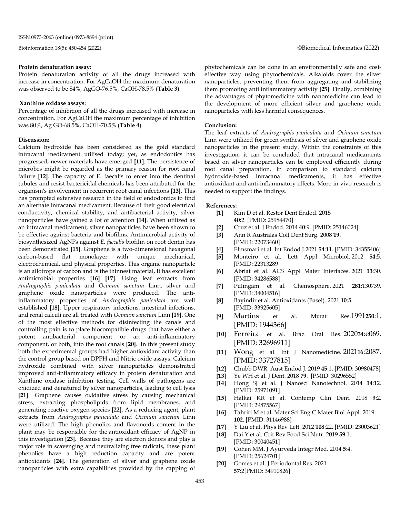#### **Protein denaturation assay:**

Protein denaturation activity of all the drugs increased with increase in concentration. For AgCaOH the maximum denaturation was observed to be 84%, AgGO-76.5%, CaOH-78.5% (**Table 3)**.

#### **Xanthine oxidase assays:**

Percentage of inhibition of all the drugs increased with increase in concentration. For AgCaOH the maximum percentage of inhibition was 80%, Ag GO-68.5%, CaOH-70.5% (**Table 4**).

#### **Discussion:**

Calcium hydroxide has been considered as the gold standard intracanal medicament utilised today; yet, as endodontics has progressed, newer materials have emerged **[11]**. The persistence of microbes might be regarded as the primary reason for root canal failure **[12]**. The capacity of E. faecalis to enter into the dentinal tubules and resist bactericidal chemicals has been attributed for the organism's involvement in recurrent root canal infections **[13]**. This has prompted extensive research in the field of endodontics to find an alternate intracanal medicament. Because of their good electrical conductivity, chemical stability, and antibacterial activity, silver nanoparticles have gained a lot of attention **[14]**. When utilized as an intracanal medicament, silver nanoparticles have been shown to be effective against bacteria and biofilms. Antimicrobial activity of biosynthesized AgNPs against *E. faecalis* biofilm on root dentin has been demonstrated **[15]**. Graphene is a two-dimensional hexagonal carbon-based flat monolayer with unique mechanical, electrochemical, and physical properties. This organic nanoparticle is an allotrope of carbon and is the thinnest material, It has excellent antimicrobial properties **[16] [17]**. Using leaf extracts from *Andrographis paniculata* and *Ocimum sanctum* Linn, silver and graphene oxide nanoparticles were produced. The antiinflammatory properties of *Andrographis paniculata* are well established **[18]**. Upper respiratory infections, intestinal infections, and renal calculi are all treated with *Ocimum sanctum* Linn **[19]**. One of the most effective methods for disinfecting the canals and controlling pain is to place biocompatible drugs that have either a potent antibacterial component or an anti-inflammatory component, or both, into the root canals **[20]**. In this present study both the experimental groups had higher antioxidant activity than the control group based on DPPH and Nitric oxide assays. Calcium hydroxide combined with silver nanoparticles demonstrated improved anti-inflammatory efficacy in protein denaturation and Xanthine oxidase inhibition testing. Cell walls of pathogens are oxidized and denatured by silver nanoparticles, leading to cell lysis **[21]**. Graphene causes oxidative stress by causing mechanical stress, extracting phospholipids from lipid membranes, and generating reactive oxygen species **[22]**. As a reducing agent, plant extracts from *Andrographis paniculata* and *Ocimum sanctum* Linn were utilized. The high phenolics and flavonoids content in the plant may be responsible for the antioxidant efficacy of AgNP in this investigation **[23]**. Because they are electron donors and play a major role in scavenging and neutralizing free radicals, these plant phenolics have a high reduction capacity and are potent antioxidants **[24]**. The generation of silver and graphene oxide nanoparticles with extra capabilities provided by the capping of

phytochemicals can be done in an environmentally safe and costeffective way using phytochemicals. Alkaloids cover the silver nanoparticles, preventing them from aggregating and stabilizing them promoting anti inflammatory activity **[25]**. Finally, combining the advantages of phytomedicine with nanomedicine can lead to the development of more efficient silver and graphene oxide nanoparticles with less harmful consequences.

#### **Conclusion:**

The leaf extracts of *Andrographis paniculata* and *Ocimum sanctum* Linn were utilized for green synthesis of silver and graphene oxide nanoparticles in the present study. Within the constraints of this investigation, it can be concluded that intracanal medicaments based on silver nanoparticles can be employed efficiently during root canal preparation. In comparison to standard calcium hydroxide-based intracanal medicaments, it has effective antioxidant and anti-inflammatory effects. More in vivo research is needed to support the findings.

#### **References:**

- **[1]** Kim D et al. Restor Dent Endod. 2015 **40:**2. [PMID: 25984470]
- **[2]** Cruz et al. J Endod. 2014 **40**:9. [PMID: 25146024]
- **[3]** Ann R Australas Coll Dent Surg. 2008 **19**. [PMID: 22073460]
- **[4]** Elmsmari et al. Int Endod J.2021 **54**:11. [PMID: 34355406]
- **[5]** Monteiro et al. Lett Appl Microbiol. 2012 **54**:5. [PMID: 22313289
- **[6]** Abriat et al. ACS Appl Mater Interfaces. 2021 **13**:30. [PMID: 34286588]
- **[7]** Pulingam et al. Chemosphere. 2021 **281**:130739. [PMID: 34004516]
- **[8]** Bayindir et al. Antioxidants (Basel). 2021 **10**:5. [PMID: 33925605]
- **[9]** Martins et al. Mutat Res.1991**250**:1. [PMID: 1944366]
- **[10]** Ferreira et al. Braz Oral Res. 2020**34**:e069. [PMID: 32696911]
- **[11]** Wong et al. Int J Nanomedicine. 2021**16**:2087. [PMID: 33727815]
- **[12]** Chubb DWR. Aust Endod J. 2019 **45**:1. [PMID: 30980478]
- **[13]** Ye WH et al. J Dent. 2018 **79**. [PMID: 30296552]
- **[14]** Hong SJ et al. J Nanosci Nanotechnol. 2014 **14**:12. [PMID: 25971091]
- **[15]** Halkai KR et al. Contemp Clin Dent. 2018 **9**:2. [PMID: 29875567]
- **[16]** Tahriri M et al. Mater Sci Eng C Mater Biol Appl. 2019 **102**. [PMID: 31146988]
- **[17]** Y Liu et al. Phys Rev Lett. 2012 **108**:22. [PMID: 23003621]
- **[18]** Dai Y et al. Crit Rev Food Sci Nutr. 2019 **59**:1. [PMID: 30040451]
- **[19]** Cohen MM. J Ayurveda Integr Med. 2014 **5**:4. [PMID: 25624701]
- **[20]** Gomes et al. J Periodontal Res. 2021 **57**:2[PMID: 34910826]